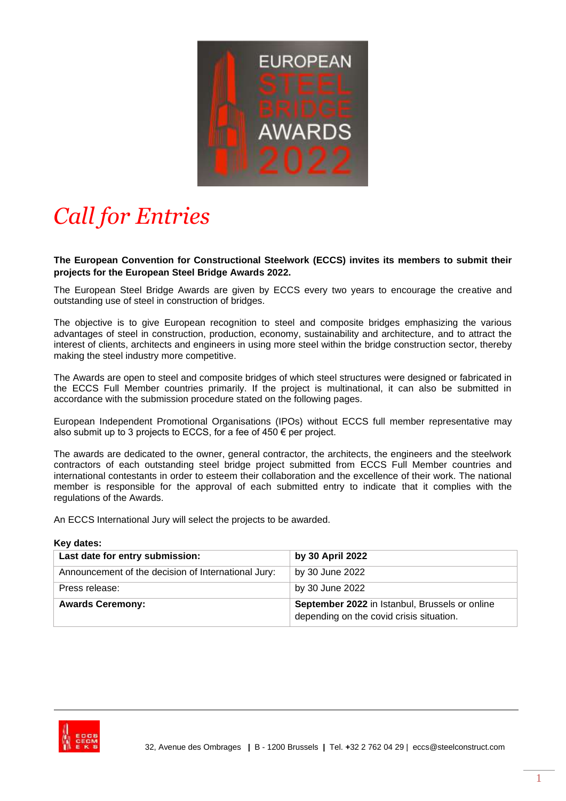

# *Call for Entries*

**The European Convention for Constructional Steelwork (ECCS) invites its members to submit their projects for the European Steel Bridge Awards 2022.**

The European Steel Bridge Awards are given by ECCS every two years to encourage the creative and outstanding use of steel in construction of bridges.

The objective is to give European recognition to steel and composite bridges emphasizing the various advantages of steel in construction, production, economy, sustainability and architecture, and to attract the interest of clients, architects and engineers in using more steel within the bridge construction sector, thereby making the steel industry more competitive.

The Awards are open to steel and composite bridges of which steel structures were designed or fabricated in the ECCS Full Member countries primarily. If the project is multinational, it can also be submitted in accordance with the submission procedure stated on the following pages.

European Independent Promotional Organisations (IPOs) without ECCS full member representative may also submit up to 3 projects to ECCS, for a fee of  $450 \in$  per project.

The awards are dedicated to the owner, general contractor, the architects, the engineers and the steelwork contractors of each outstanding steel bridge project submitted from ECCS Full Member countries and international contestants in order to esteem their collaboration and the excellence of their work. The national member is responsible for the approval of each submitted entry to indicate that it complies with the regulations of the Awards.

An ECCS International Jury will select the projects to be awarded.

#### **Key dates:**

| Last date for entry submission:                     | by 30 April 2022                                                                           |
|-----------------------------------------------------|--------------------------------------------------------------------------------------------|
| Announcement of the decision of International Jury: | by 30 June 2022                                                                            |
| Press release:                                      | by 30 June 2022                                                                            |
| <b>Awards Ceremony:</b>                             | September 2022 in Istanbul, Brussels or online<br>depending on the covid crisis situation. |

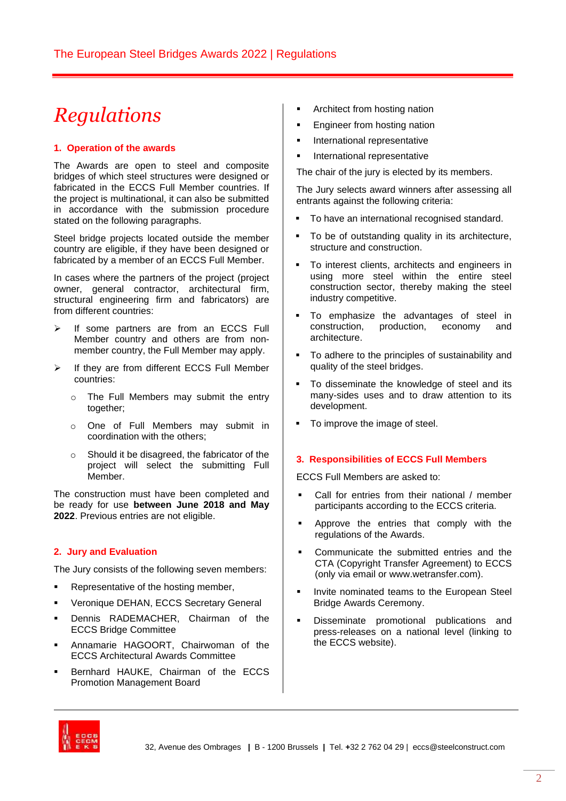# *Regulations*

### **1. Operation of the awards**

The Awards are open to steel and composite bridges of which steel structures were designed or fabricated in the ECCS Full Member countries. If the project is multinational, it can also be submitted in accordance with the submission procedure stated on the following paragraphs.

Steel bridge projects located outside the member country are eligible, if they have been designed or fabricated by a member of an ECCS Full Member.

In cases where the partners of the project (project owner, general contractor, architectural firm, structural engineering firm and fabricators) are from different countries:

- ➢ If some partners are from an ECCS Full Member country and others are from nonmember country, the Full Member may apply.
- ➢ If they are from different ECCS Full Member countries:
	- o The Full Members may submit the entry together;
	- o One of Full Members may submit in coordination with the others;
	- o Should it be disagreed, the fabricator of the project will select the submitting Full Member.

The construction must have been completed and be ready for use **between June 2018 and May 2022**. Previous entries are not eligible.

## **2. Jury and Evaluation**

The Jury consists of the following seven members:

- Representative of the hosting member,
- Veronique DEHAN, ECCS Secretary General
- Dennis RADEMACHER, Chairman of the ECCS Bridge Committee
- Annamarie HAGOORT, Chairwoman of the ECCS Architectural Awards Committee
- Bernhard HAUKE, Chairman of the ECCS Promotion Management Board
- Architect from hosting nation
- Engineer from hosting nation
- **·** International representative
- **·** International representative

The chair of the jury is elected by its members.

The Jury selects award winners after assessing all entrants against the following criteria:

- To have an international recognised standard.
- To be of outstanding quality in its architecture, structure and construction.
- To interest clients, architects and engineers in using more steel within the entire steel construction sector, thereby making the steel industry competitive.
- To emphasize the advantages of steel in construction, production, economy and architecture.
- To adhere to the principles of sustainability and quality of the steel bridges.
- To disseminate the knowledge of steel and its many-sides uses and to draw attention to its development.
- To improve the image of steel.

#### **3. Responsibilities of ECCS Full Members**

ECCS Full Members are asked to:

- Call for entries from their national / member participants according to the ECCS criteria.
- Approve the entries that comply with the regulations of the Awards.
- Communicate the submitted entries and the CTA (Copyright Transfer Agreement) to ECCS (only via email or www.wetransfer.com).
- Invite nominated teams to the European Steel Bridge Awards Ceremony.
- Disseminate promotional publications and press-releases on a national level (linking to the ECCS website).